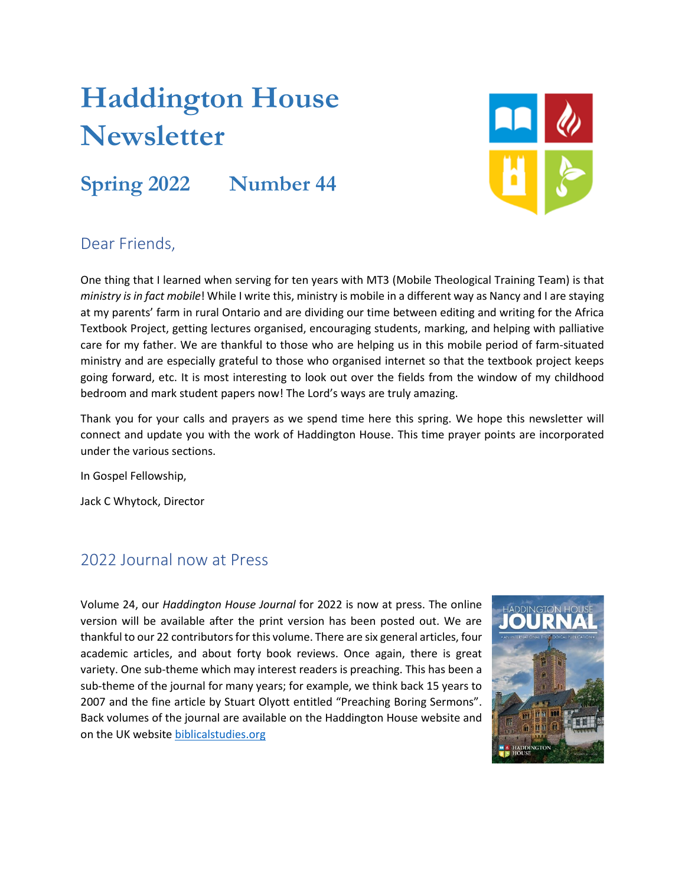# **Haddington House Newsletter**

## **Spring 2022 Number 44**



#### Dear Friends,

One thing that I learned when serving for ten years with MT3 (Mobile Theological Training Team) is that *ministry is in fact mobile*! While I write this, ministry is mobile in a different way as Nancy and I are staying at my parents' farm in rural Ontario and are dividing our time between editing and writing for the Africa Textbook Project, getting lectures organised, encouraging students, marking, and helping with palliative care for my father. We are thankful to those who are helping us in this mobile period of farm-situated ministry and are especially grateful to those who organised internet so that the textbook project keeps going forward, etc. It is most interesting to look out over the fields from the window of my childhood bedroom and mark student papers now! The Lord's ways are truly amazing.

Thank you for your calls and prayers as we spend time here this spring. We hope this newsletter will connect and update you with the work of Haddington House. This time prayer points are incorporated under the various sections.

In Gospel Fellowship,

Jack C Whytock, Director

#### 2022 Journal now at Press

Volume 24, our *Haddington House Journal* for 2022 is now at press. The online version will be available after the print version has been posted out. We are thankful to our 22 contributors for this volume. There are six general articles, four academic articles, and about forty book reviews. Once again, there is great variety. One sub-theme which may interest readers is preaching. This has been a sub-theme of the journal for many years; for example, we think back 15 years to 2007 and the fine article by Stuart Olyott entitled "Preaching Boring Sermons". Back volumes of the journal are available on the Haddington House website and on the UK website [biblicalstudies.org](http://www.biblicalstudies.org/)

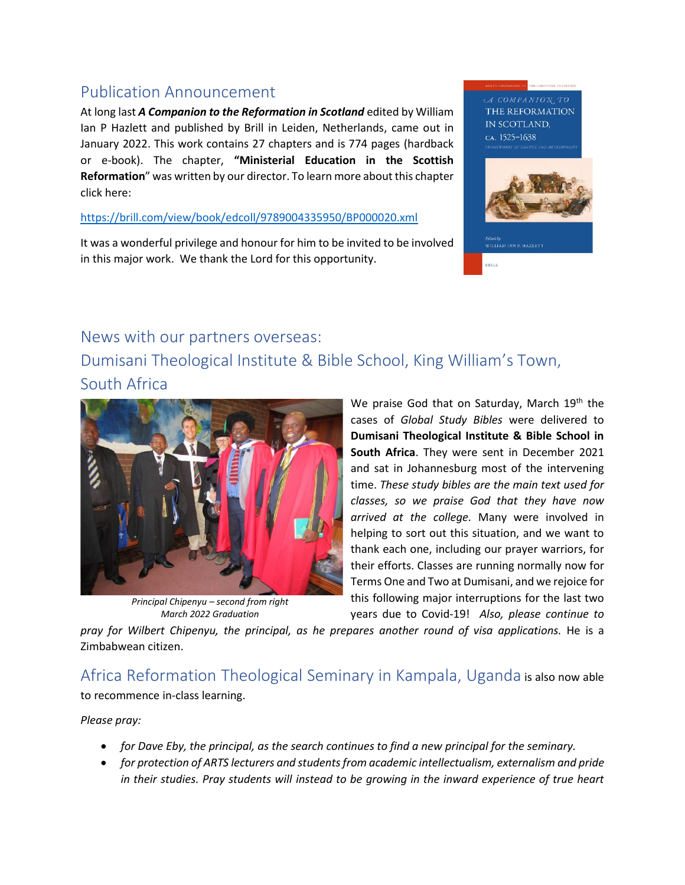#### Publication Announcement

At long last *A Companion to the Reformation in Scotland* edited by William Ian P Hazlett and published by Brill in Leiden, Netherlands, came out in January 2022. This work contains 27 chapters and is 774 pages (hardback or e-book). The chapter, **"Ministerial Education in the Scottish Reformation**" was written by our director. To learn more about this chapter click here:

<https://brill.com/view/book/edcoll/9789004335950/BP000020.xml>

It was a wonderful privilege and honour for him to be invited to be involved in this major work. We thank the Lord for this opportunity.





BRILL

#### News with our partners overseas:

Dumisani Theological Institute & Bible School, King William's Town, South Africa



*Principal Chipenyu – second from right March 2022 Graduation*

We praise God that on Saturday, March 19<sup>th</sup> the cases of *Global Study Bibles* were delivered to **Dumisani Theological Institute & Bible School in South Africa**. They were sent in December 2021 and sat in Johannesburg most of the intervening time. *These study bibles are the main text used for classes, so we praise God that they have now arrived at the college.* Many were involved in helping to sort out this situation, and we want to thank each one, including our prayer warriors, for their efforts. Classes are running normally now for Terms One and Two at Dumisani, and we rejoice for this following major interruptions for the last two years due to Covid-19! *Also, please continue to* 

*pray for Wilbert Chipenyu, the principal, as he prepares another round of visa applications.* He is a Zimbabwean citizen.

Africa Reformation Theological Seminary in Kampala, Uganda is also now able to recommence in-class learning.

*Please pray:*

- *for Dave Eby, the principal, as the search continues to find a new principal for the seminary.*
- *for protection of ARTS lecturers and students from academic intellectualism, externalism and pride in their studies. Pray students will instead to be growing in the inward experience of true heart*